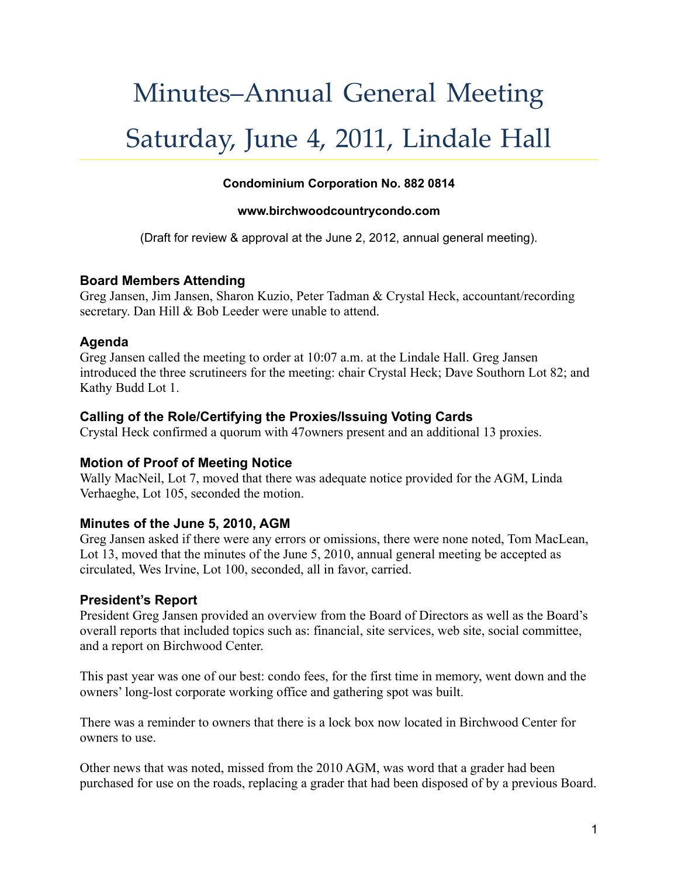# Minutes–Annual General Meeting Saturday, June 4, 2011, Lindale Hall

#### **Condominium Corporation No. 882 0814**

#### **www.birchwoodcountrycondo.com**

(Draft for review & approval at the June 2, 2012, annual general meeting).

#### **Board Members Attending**

Greg Jansen, Jim Jansen, Sharon Kuzio, Peter Tadman & Crystal Heck, accountant/recording secretary. Dan Hill & Bob Leeder were unable to attend.

## **Agenda**

Greg Jansen called the meeting to order at 10:07 a.m. at the Lindale Hall. Greg Jansen introduced the three scrutineers for the meeting: chair Crystal Heck; Dave Southorn Lot 82; and Kathy Budd Lot 1.

## **Calling of the Role/Certifying the Proxies/Issuing Voting Cards**

Crystal Heck confirmed a quorum with 47owners present and an additional 13 proxies.

## **Motion of Proof of Meeting Notice**

Wally MacNeil, Lot 7, moved that there was adequate notice provided for the AGM, Linda Verhaeghe, Lot 105, seconded the motion.

## **Minutes of the June 5, 2010, AGM**

Greg Jansen asked if there were any errors or omissions, there were none noted, Tom MacLean, Lot 13, moved that the minutes of the June 5, 2010, annual general meeting be accepted as circulated, Wes Irvine, Lot 100, seconded, all in favor, carried.

## **President's Report**

President Greg Jansen provided an overview from the Board of Directors as well as the Board's overall reports that included topics such as: financial, site services, web site, social committee, and a report on Birchwood Center.

This past year was one of our best: condo fees, for the first time in memory, went down and the owners' long-lost corporate working office and gathering spot was built.

There was a reminder to owners that there is a lock box now located in Birchwood Center for owners to use.

Other news that was noted, missed from the 2010 AGM, was word that a grader had been purchased for use on the roads, replacing a grader that had been disposed of by a previous Board.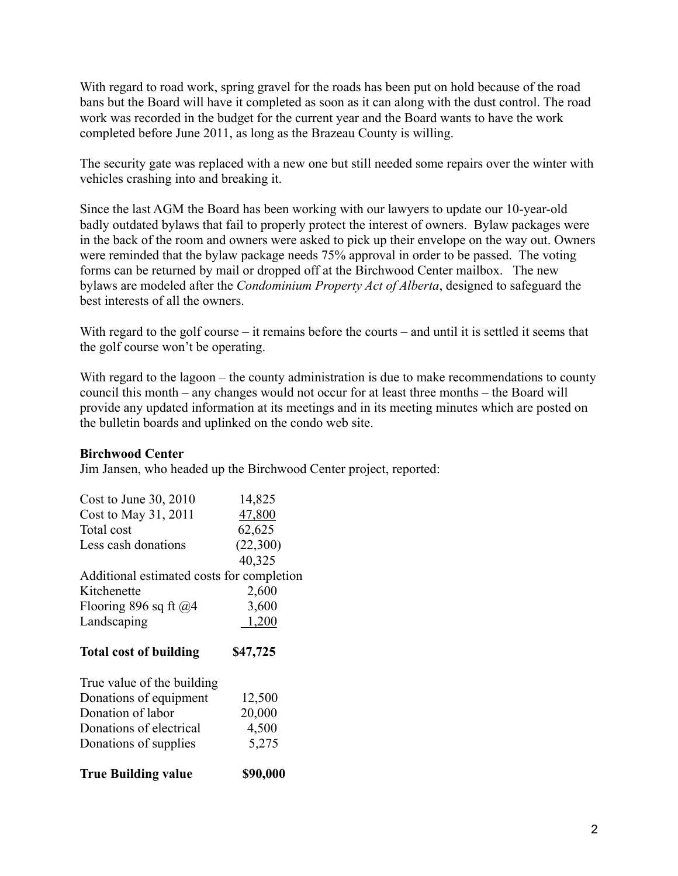With regard to road work, spring gravel for the roads has been put on hold because of the road bans but the Board will have it completed as soon as it can along with the dust control. The road work was recorded in the budget for the current year and the Board wants to have the work completed before June 2011, as long as the Brazeau County is willing.

The security gate was replaced with a new one but still needed some repairs over the winter with vehicles crashing into and breaking it.

Since the last AGM the Board has been working with our lawyers to update our 10-year-old badly outdated bylaws that fail to properly protect the interest of owners. Bylaw packages were in the back of the room and owners were asked to pick up their envelope on the way out. Owners were reminded that the bylaw package needs 75% approval in order to be passed. The voting forms can be returned by mail or dropped off at the Birchwood Center mailbox. The new bylaws are modeled after the *Condominium Property Act of Alberta*, designed to safeguard the best interests of all the owners.

With regard to the golf course – it remains before the courts – and until it is settled it seems that the golf course won't be operating.

With regard to the lagoon – the county administration is due to make recommendations to county council this month – any changes would not occur for at least three months – the Board will provide any updated information at its meetings and in its meeting minutes which are posted on the bulletin boards and uplinked on the condo web site.

#### **Birchwood Center**

Jim Jansen, who headed up the Birchwood Center project, reported:

| Cost to June $30, 2010$                              | 14,825   |
|------------------------------------------------------|----------|
| Cost to May 31, 2011                                 | 47,800   |
| Total cost                                           | 62,625   |
| Less cash donations                                  | (22,300) |
|                                                      | 40,325   |
| Additional estimated costs for completion            |          |
| Kitchenette                                          | 2,600    |
| Flooring 896 sq ft $@4$                              | 3,600    |
| Landscaping                                          | 1,200    |
|                                                      |          |
| <b>Total cost of building</b>                        | \$47,725 |
|                                                      |          |
| True value of the building<br>Donations of equipment | 12,500   |
| Donation of labor                                    | 20,000   |
| Donations of electrical                              | 4,500    |
| Donations of supplies                                | 5,275    |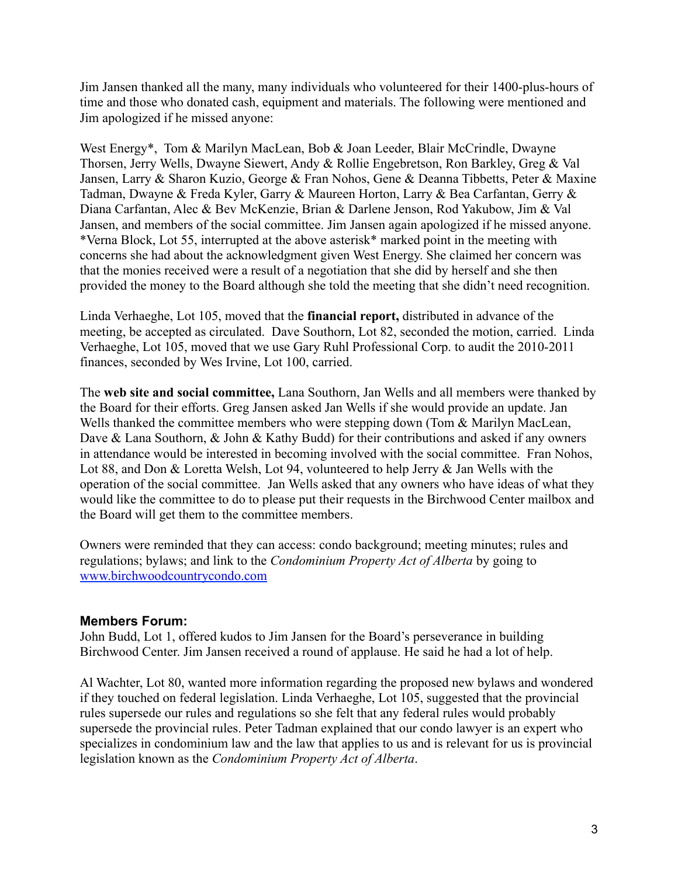Jim Jansen thanked all the many, many individuals who volunteered for their 1400-plus-hours of time and those who donated cash, equipment and materials. The following were mentioned and Jim apologized if he missed anyone:

West Energy<sup>\*</sup>, Tom & Marilyn MacLean, Bob & Joan Leeder, Blair McCrindle, Dwayne Thorsen, Jerry Wells, Dwayne Siewert, Andy & Rollie Engebretson, Ron Barkley, Greg & Val Jansen, Larry & Sharon Kuzio, George & Fran Nohos, Gene & Deanna Tibbetts, Peter & Maxine Tadman, Dwayne & Freda Kyler, Garry & Maureen Horton, Larry & Bea Carfantan, Gerry & Diana Carfantan, Alec & Bev McKenzie, Brian & Darlene Jenson, Rod Yakubow, Jim & Val Jansen, and members of the social committee. Jim Jansen again apologized if he missed anyone. \*Verna Block, Lot 55, interrupted at the above asterisk\* marked point in the meeting with concerns she had about the acknowledgment given West Energy. She claimed her concern was that the monies received were a result of a negotiation that she did by herself and she then provided the money to the Board although she told the meeting that she didn't need recognition.

Linda Verhaeghe, Lot 105, moved that the **financial report,** distributed in advance of the meeting, be accepted as circulated. Dave Southorn, Lot 82, seconded the motion, carried. Linda Verhaeghe, Lot 105, moved that we use Gary Ruhl Professional Corp. to audit the 2010-2011 finances, seconded by Wes Irvine, Lot 100, carried.

The **web site and social committee,** Lana Southorn, Jan Wells and all members were thanked by the Board for their efforts. Greg Jansen asked Jan Wells if she would provide an update. Jan Wells thanked the committee members who were stepping down (Tom & Marilyn MacLean, Dave & Lana Southorn, & John & Kathy Budd) for their contributions and asked if any owners in attendance would be interested in becoming involved with the social committee. Fran Nohos, Lot 88, and Don & Loretta Welsh, Lot 94, volunteered to help Jerry & Jan Wells with the operation of the social committee. Jan Wells asked that any owners who have ideas of what they would like the committee to do to please put their requests in the Birchwood Center mailbox and the Board will get them to the committee members.

Owners were reminded that they can access: condo background; meeting minutes; rules and regulations; bylaws; and link to the *Condominium Property Act of Alberta* by going to www.birchwoodcountrycondo.com

#### **Members Forum:**

John Budd, Lot 1, offered kudos to Jim Jansen for the Board's perseverance in building Birchwood Center. Jim Jansen received a round of applause. He said he had a lot of help.

Al Wachter, Lot 80, wanted more information regarding the proposed new bylaws and wondered if they touched on federal legislation. Linda Verhaeghe, Lot 105, suggested that the provincial rules supersede our rules and regulations so she felt that any federal rules would probably supersede the provincial rules. Peter Tadman explained that our condo lawyer is an expert who specializes in condominium law and the law that applies to us and is relevant for us is provincial legislation known as the *Condominium Property Act of Alberta*.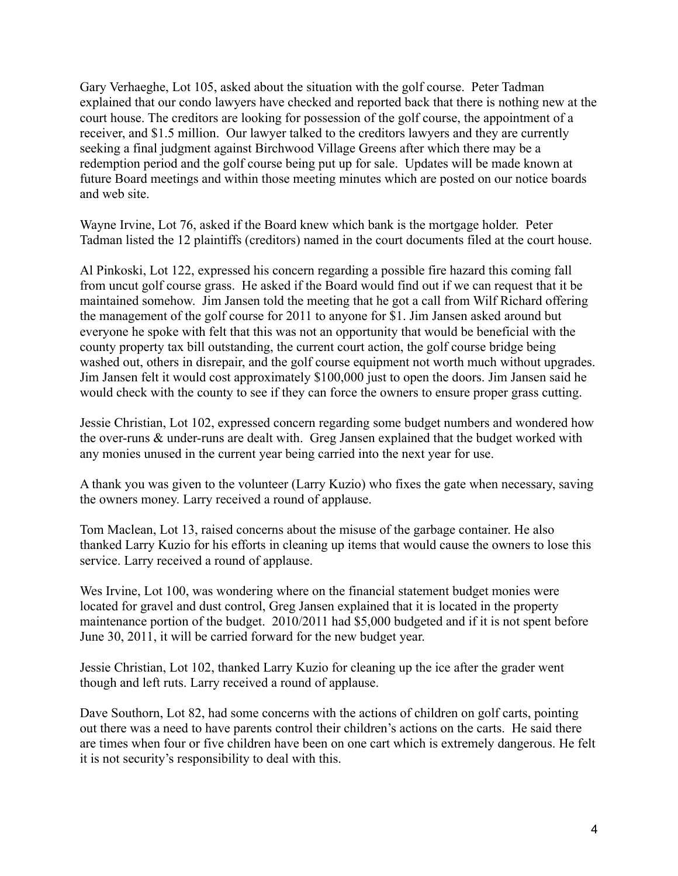Gary Verhaeghe, Lot 105, asked about the situation with the golf course. Peter Tadman explained that our condo lawyers have checked and reported back that there is nothing new at the court house. The creditors are looking for possession of the golf course, the appointment of a receiver, and \$1.5 million. Our lawyer talked to the creditors lawyers and they are currently seeking a final judgment against Birchwood Village Greens after which there may be a redemption period and the golf course being put up for sale. Updates will be made known at future Board meetings and within those meeting minutes which are posted on our notice boards and web site.

Wayne Irvine, Lot 76, asked if the Board knew which bank is the mortgage holder. Peter Tadman listed the 12 plaintiffs (creditors) named in the court documents filed at the court house.

Al Pinkoski, Lot 122, expressed his concern regarding a possible fire hazard this coming fall from uncut golf course grass. He asked if the Board would find out if we can request that it be maintained somehow. Jim Jansen told the meeting that he got a call from Wilf Richard offering the management of the golf course for 2011 to anyone for \$1. Jim Jansen asked around but everyone he spoke with felt that this was not an opportunity that would be beneficial with the county property tax bill outstanding, the current court action, the golf course bridge being washed out, others in disrepair, and the golf course equipment not worth much without upgrades. Jim Jansen felt it would cost approximately \$100,000 just to open the doors. Jim Jansen said he would check with the county to see if they can force the owners to ensure proper grass cutting.

Jessie Christian, Lot 102, expressed concern regarding some budget numbers and wondered how the over-runs & under-runs are dealt with. Greg Jansen explained that the budget worked with any monies unused in the current year being carried into the next year for use.

A thank you was given to the volunteer (Larry Kuzio) who fixes the gate when necessary, saving the owners money. Larry received a round of applause.

Tom Maclean, Lot 13, raised concerns about the misuse of the garbage container. He also thanked Larry Kuzio for his efforts in cleaning up items that would cause the owners to lose this service. Larry received a round of applause.

Wes Irvine, Lot 100, was wondering where on the financial statement budget monies were located for gravel and dust control, Greg Jansen explained that it is located in the property maintenance portion of the budget. 2010/2011 had \$5,000 budgeted and if it is not spent before June 30, 2011, it will be carried forward for the new budget year.

Jessie Christian, Lot 102, thanked Larry Kuzio for cleaning up the ice after the grader went though and left ruts. Larry received a round of applause.

Dave Southorn, Lot 82, had some concerns with the actions of children on golf carts, pointing out there was a need to have parents control their children's actions on the carts. He said there are times when four or five children have been on one cart which is extremely dangerous. He felt it is not security's responsibility to deal with this.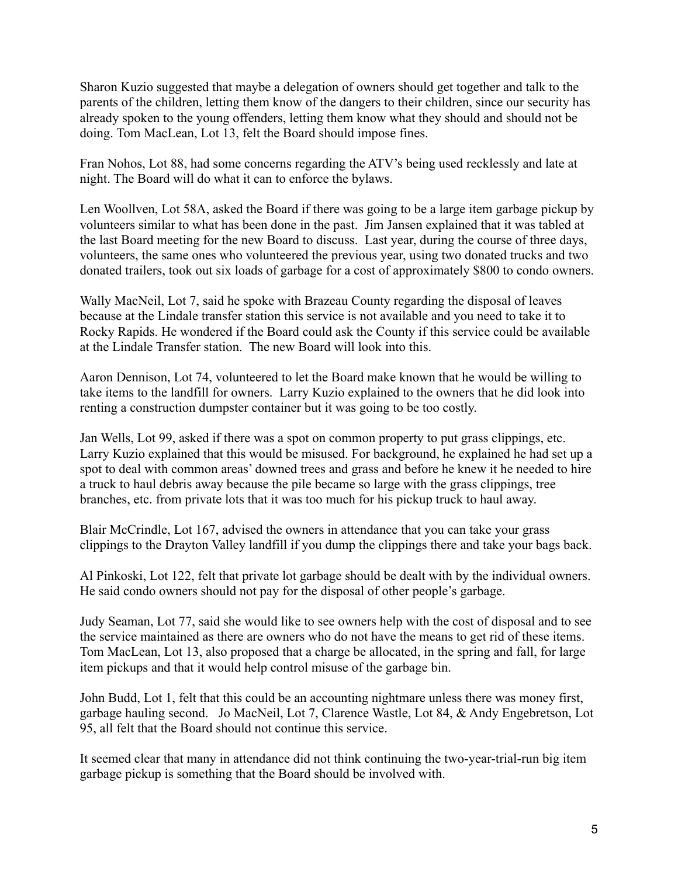Sharon Kuzio suggested that maybe a delegation of owners should get together and talk to the parents of the children, letting them know of the dangers to their children, since our security has already spoken to the young offenders, letting them know what they should and should not be doing. Tom MacLean, Lot 13, felt the Board should impose fines.

Fran Nohos, Lot 88, had some concerns regarding the ATV's being used recklessly and late at night. The Board will do what it can to enforce the bylaws.

Len Woollven, Lot 58A, asked the Board if there was going to be a large item garbage pickup by volunteers similar to what has been done in the past. Jim Jansen explained that it was tabled at the last Board meeting for the new Board to discuss. Last year, during the course of three days, volunteers, the same ones who volunteered the previous year, using two donated trucks and two donated trailers, took out six loads of garbage for a cost of approximately \$800 to condo owners.

Wally MacNeil, Lot 7, said he spoke with Brazeau County regarding the disposal of leaves because at the Lindale transfer station this service is not available and you need to take it to Rocky Rapids. He wondered if the Board could ask the County if this service could be available at the Lindale Transfer station. The new Board will look into this.

Aaron Dennison, Lot 74, volunteered to let the Board make known that he would be willing to take items to the landfill for owners. Larry Kuzio explained to the owners that he did look into renting a construction dumpster container but it was going to be too costly.

Jan Wells, Lot 99, asked if there was a spot on common property to put grass clippings, etc. Larry Kuzio explained that this would be misused. For background, he explained he had set up a spot to deal with common areas' downed trees and grass and before he knew it he needed to hire a truck to haul debris away because the pile became so large with the grass clippings, tree branches, etc. from private lots that it was too much for his pickup truck to haul away.

Blair McCrindle, Lot 167, advised the owners in attendance that you can take your grass clippings to the Drayton Valley landfill if you dump the clippings there and take your bags back.

Al Pinkoski, Lot 122, felt that private lot garbage should be dealt with by the individual owners. He said condo owners should not pay for the disposal of other people's garbage.

Judy Seaman, Lot 77, said she would like to see owners help with the cost of disposal and to see the service maintained as there are owners who do not have the means to get rid of these items. Tom MacLean, Lot 13, also proposed that a charge be allocated, in the spring and fall, for large item pickups and that it would help control misuse of the garbage bin.

John Budd, Lot 1, felt that this could be an accounting nightmare unless there was money first, garbage hauling second. Jo MacNeil, Lot 7, Clarence Wastle, Lot 84, & Andy Engebretson, Lot 95, all felt that the Board should not continue this service.

It seemed clear that many in attendance did not think continuing the two-year-trial-run big item garbage pickup is something that the Board should be involved with.